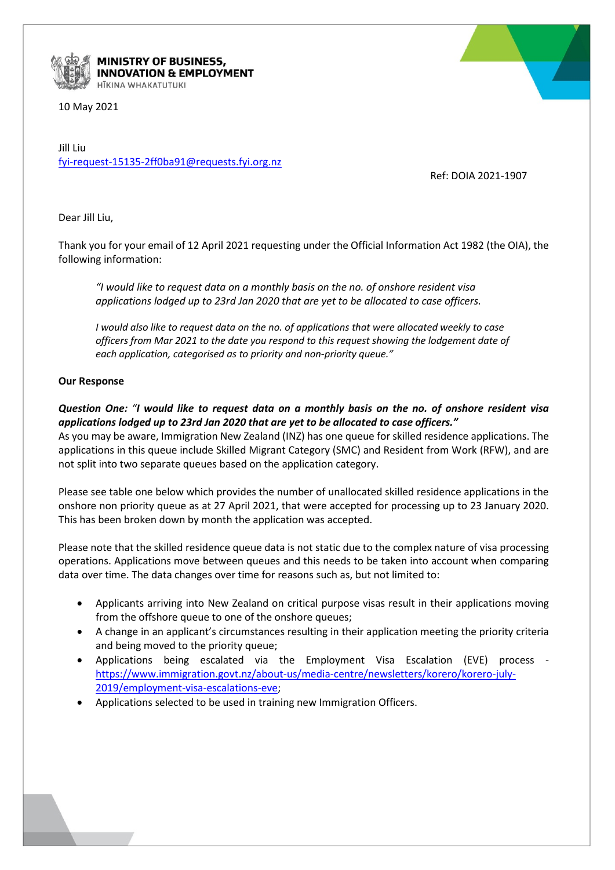

## MINISTRY OF BUSINESS, **INNOVATION & EMPLOYMENT** HĪKINA WHAKATUTUKI

10 May 2021

Jill Liu [fyi-request-15135-2ff0ba91@requests.fyi.org.nz](mailto:xxxxxxxxxxxxxxxxxxxxxxxxxx@xxxxxxxx.xxx.xxx.xx)

Ref: DOIA 2021-1907

Dear Jill Liu,

Thank you for your email of 12 April 2021 requesting under the Official Information Act 1982 (the OIA), the following information:

*"I would like to request data on a monthly basis on the no. of onshore resident visa applications lodged up to 23rd Jan 2020 that are yet to be allocated to case officers.*

*I would also like to request data on the no. of applications that were allocated weekly to case officers from Mar 2021 to the date you respond to this request showing the lodgement date of each application, categorised as to priority and non-priority queue."*

## **Our Response**

## *Question One: "I would like to request data on a monthly basis on the no. of onshore resident visa applications lodged up to 23rd Jan 2020 that are yet to be allocated to case officers."*

As you may be aware, Immigration New Zealand (INZ) has one queue for skilled residence applications. The applications in this queue include Skilled Migrant Category (SMC) and Resident from Work (RFW), and are not split into two separate queues based on the application category.

Please see table one below which provides the number of unallocated skilled residence applications in the onshore non priority queue as at 27 April 2021, that were accepted for processing up to 23 January 2020. This has been broken down by month the application was accepted.

Please note that the skilled residence queue data is not static due to the complex nature of visa processing operations. Applications move between queues and this needs to be taken into account when comparing data over time. The data changes over time for reasons such as, but not limited to:

- Applicants arriving into New Zealand on critical purpose visas result in their applications moving from the offshore queue to one of the onshore queues;
- A change in an applicant's circumstances resulting in their application meeting the priority criteria and being moved to the priority queue;
- Applications being escalated via the Employment Visa Escalation (EVE) process [https://www.immigration.govt.nz/about-us/media-centre/newsletters/korero/korero-july-](https://www.immigration.govt.nz/about-us/media-centre/newsletters/korero/korero-july-2019/employment-visa-escalations-eve)[2019/employment-visa-escalations-eve;](https://www.immigration.govt.nz/about-us/media-centre/newsletters/korero/korero-july-2019/employment-visa-escalations-eve)
- Applications selected to be used in training new Immigration Officers.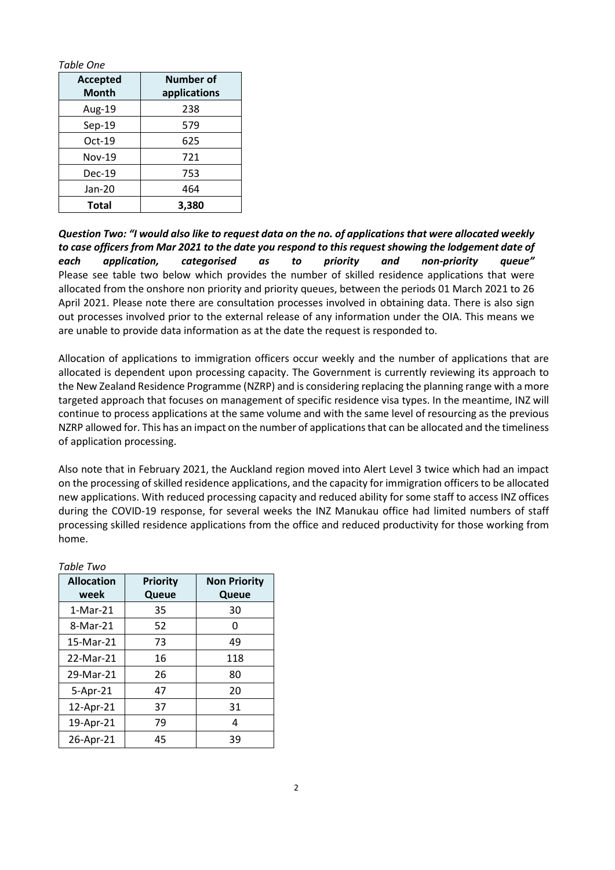| Table One       |              |
|-----------------|--------------|
| <b>Accepted</b> | Number of    |
| Month           | applications |
| Aug-19          | 238          |
| $Sep-19$        | 579          |
| $Oct-19$        | 625          |
| <b>Nov-19</b>   | 721          |
| $Dec-19$        | 753          |
| Jan-20          | 464          |
| <b>Total</b>    | 3.380        |

*Question Two: "I would also like to request data on the no. of applications that were allocated weekly to case officers from Mar 2021 to the date you respond to this request showing the lodgement date of each application, categorised as to priority and non-priority queue"* Please see table two below which provides the number of skilled residence applications that were allocated from the onshore non priority and priority queues, between the periods 01 March 2021 to 26 April 2021. Please note there are consultation processes involved in obtaining data. There is also sign out processes involved prior to the external release of any information under the OIA. This means we are unable to provide data information as at the date the request is responded to.

Allocation of applications to immigration officers occur weekly and the number of applications that are allocated is dependent upon processing capacity. The Government is currently reviewing its approach to the New Zealand Residence Programme (NZRP) and is considering replacing the planning range with a more targeted approach that focuses on management of specific residence visa types. In the meantime, INZ will continue to process applications at the same volume and with the same level of resourcing as the previous NZRP allowed for. This has an impact on the number of applications that can be allocated and the timeliness of application processing.

Also note that in February 2021, the Auckland region moved into Alert Level 3 twice which had an impact on the processing of skilled residence applications, and the capacity for immigration officers to be allocated new applications. With reduced processing capacity and reduced ability for some staff to access INZ offices during the COVID-19 response, for several weeks the INZ Manukau office had limited numbers of staff processing skilled residence applications from the office and reduced productivity for those working from home.

| <b>Allocation</b> | <b>Priority</b> | <b>Non Priority</b> |
|-------------------|-----------------|---------------------|
| week              | Queue           | Queue               |
| $1-Mar-21$        | 35              | 30                  |
| 8-Mar-21          | 52              | Ω                   |
| 15-Mar-21         | 73              | 49                  |
| 22-Mar-21         | 16              | 118                 |
| 29-Mar-21         | 26              | 80                  |
| 5-Apr-21          | 47              | 20                  |
| 12-Apr-21         | 37              | 31                  |
| 19-Apr-21         | 79              | 4                   |
| 26-Apr-21         | 45              | 39                  |